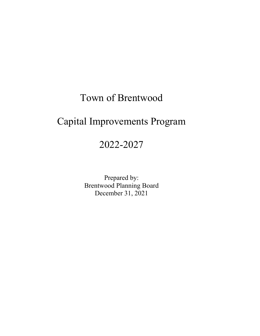## Town of Brentwood

# Capital Improvements Program

## 2022-2027

Prepared by: Brentwood Planning Board December 31, 2021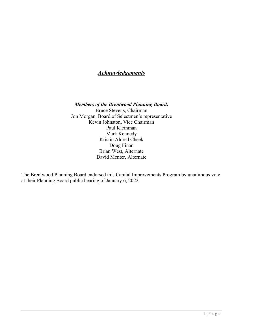## *Acknowledgements*

*Members of the Brentwood Planning Board:* Bruce Stevens, Chairman Jon Morgan, Board of Selectmen's representative Kevin Johnston, Vice Chairman Paul Kleinman Mark Kennedy Kristin Aldred Cheek Doug Finan Brian West, Alternate David Menter, Alternate

The Brentwood Planning Board endorsed this Capital Improvements Program by unanimous vote at their Planning Board public hearing of January 6, 2022.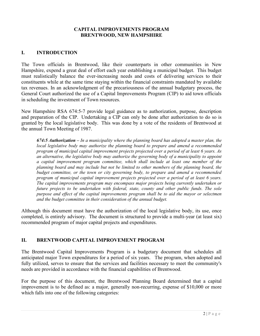## **CAPITAL IMPROVEMENTS PROGRAM BRENTWOOD, NEW HAMPSHIRE**

## **I. INTRODUCTION**

The Town officials in Brentwood, like their counterparts in other communities in New Hampshire, expend a great deal of effort each year establishing a municipal budget. This budget must realistically balance the ever-increasing needs and costs of delivering services to their constituents while at the same time staying within the financial constraints mandated by available tax revenues. In an acknowledgment of the precariousness of the annual budgetary process, the General Court authorized the use of a Capital Improvements Program (CIP) to aid town officials in scheduling the investment of Town resources.

New Hampshire RSA 674:5-7 provide legal guidance as to authorization, purpose, description and preparation of the CIP. Undertaking a CIP can only be done after authorization to do so is granted by the local legislative body. This was done by a vote of the residents of Brentwood at the annual Town Meeting of 1987.

*674:5 Authorization – In a municipality where the planning board has adopted a master plan, the local legislative body may authorize the planning board to prepare and amend a recommended program of municipal capital improvement projects projected over a period of at least 6 years. As an alternative, the legislative body may authorize the governing body of a municipality to appoint a capital improvement program committee, which shall include at least one member of the planning board and may include but not be limited to other members of the planning board, the budget committee, or the town or city governing body, to prepare and amend a recommended program of municipal capital improvement projects projected over a period of at least 6 years. The capital improvements program may encompass major projects being currently undertaken or future projects to be undertaken with federal, state, county and other public funds. The sole purpose and effect of the capital improvements program shall be to aid the mayor or selectmen and the budget committee in their consideration of the annual budget.*

Although this document must have the authorization of the local legislative body, its use, once completed, is entirely advisory. The document is structured to provide a multi-year (at least six) recommended program of major capital projects and expenditures.

## **II. BRENTWOOD CAPITAL IMPROVEMENT PROGRAM**

The Brentwood Capital Improvements Program is a budgetary document that schedules all anticipated major Town expenditures for a period of six years. The program, when adopted and fully utilized, serves to ensure that the services and facilities necessary to meet the community's needs are provided in accordance with the financial capabilities of Brentwood.

For the purpose of this document, the Brentwood Planning Board determined that a capital improvement is to be defined as: a major, generally non-recurring, expense of \$10,000 or more which falls into one of the following categories: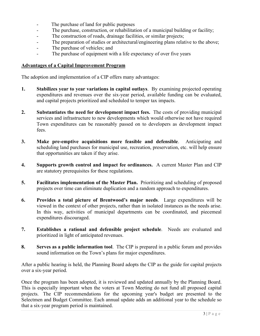- The purchase of land for public purposes
- The purchase, construction, or rehabilitation of a municipal building or facility;
- The construction of roads, drainage facilities, or similar projects;
- The preparation of studies or architectural/engineering plans relative to the above;
- The purchase of vehicles; and
- The purchase of equipment with a life expectancy of over five years

## **Advantages of a Capital Improvement Program**

The adoption and implementation of a CIP offers many advantages:

- **1. Stabilizes year to year variations in capital outlays**. By examining projected operating expenditures and revenues over the six-year period, available funding can be evaluated, and capital projects prioritized and scheduled to temper tax impacts.
- **2. Substantiates the need for development impact fees.** The costs of providing municipal services and infrastructure to new developments which would otherwise not have required Town expenditures can be reasonably passed on to developers as development impact fees.
- **3. Make pre-emptive acquisitions more feasible and defensible**. Anticipating and scheduling land purchases for municipal use, recreation, preservation, etc. will help ensure that opportunities are taken if they arise.
- **4. Supports growth control and impact fee ordinances.** A current Master Plan and CIP are statutory prerequisites for these regulations.
- **5. Facilitates implementation of the Master Plan.** Prioritizing and scheduling of proposed projects over time can eliminate duplication and a random approach to expenditures.
- **6. Provides a total picture of Brentwood's major needs**. Large expenditures will be viewed in the context of other projects, rather than in isolated instances as the needs arise. In this way, activities of municipal departments can be coordinated, and piecemeal expenditures discouraged.
- **7. Establishes a rational and defensible project schedule**. Needs are evaluated and prioritized in light of anticipated revenues.
- **8. Serves as a public information tool**. The CIP is prepared in a public forum and provides sound information on the Town's plans for major expenditures.

After a public hearing is held, the Planning Board adopts the CIP as the guide for capital projects over a six-year period.

Once the program has been adopted, it is reviewed and updated annually by the Planning Board. This is especially important when the voters at Town Meeting do not fund all proposed capital projects. The CIP recommendations for the upcoming year's budget are presented to the Selectmen and Budget Committee. Each annual update adds an additional year to the schedule so that a six-year program period is maintained.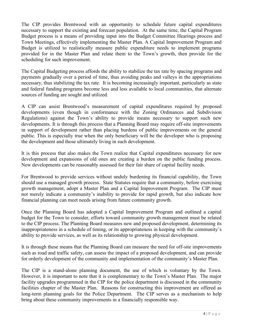The CIP provides Brentwood with an opportunity to schedule future capital expenditures necessary to support the existing and forecast population. At the same time, the Capital Program Budget process is a means of providing input into the Budget Committee Hearings process and Town Meetings, effectively implementing the Master Plan. A Capital Improvement Program and Budget is utilized to realistically measure public expenditure needs to implement programs provided for in the Master Plan and relate them to the Town's growth, then provide for the scheduling for such improvement.

The Capital Budgeting process affords the ability to stabilize the tax rate by spacing programs and payments gradually over a period of time, thus avoiding peaks and valleys in the appropriations necessary, thus stabilizing the tax rate. It is becoming increasingly important, particularly as state and federal funding programs become less and less available to local communities, that alternate sources of funding are sought and utilized.

A CIP can assist Brentwood's measurement of capital expenditures required by proposed developments (even though in conformance with the Zoning Ordinances and Subdivision Regulations) against the Town's ability to provide means necessary to support such new developments. It is through this process that a Planning Board may require off-site improvements in support of development rather than placing burdens of public improvements on the general public. This is especially true when the only beneficiary will be the developer who is proposing the development and those ultimately living in such development.

It is this process that also makes the Town realize that Capital expenditures necessary for new development and expansions of old ones are creating a burden on the public funding process. New developments can be reasonably assessed for their fair share of capital facility needs.

For Brentwood to provide services without unduly burdening its financial capability, the Town should use a managed growth process. State Statutes require that a community, before exercising growth management, adopt a Master Plan and a Capital Improvement Program. The CIP must not merely indicate a community's inability to provide for rapid growth, but also indicate how financial planning can meet needs arising from future community growth.

Once the Planning Board has adopted a Capital Improvement Program and outlined a capital budget for the Town to consider, efforts toward community growth management must be related to the CIP process. The Planning Board measures new and proposed development, determining its inappropriateness in a schedule of timing, or its appropriateness in keeping with the community's ability to provide services, as well as its relationship to growing physical development.

It is through these means that the Planning Board can measure the need for off-site improvements such as road and traffic safety, can assess the impact of a proposed development, and can provide for orderly development of the community and implementation of the community's Master Plan.

The CIP is a stand-alone planning document, the use of which is voluntary by the Town. However, it is important to note that it is complementary to the Town's Master Plan. The major facility upgrades programmed in the CIP for the police department is discussed in the community facilities chapter of the Master Plan. Reasons for constructing this improvement are offered as long-term planning goals for the Police Department. The CIP serves as a mechanism to help bring about these community improvements in a financially responsible way.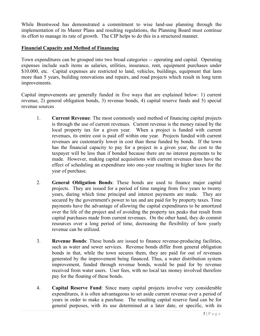While Brentwood has demonstrated a commitment to wise land-use planning through the implementation of its Master Plans and resulting regulations, the Planning Board must continue its effort to manage its rate of growth. The CIP helps to do this in a structured manner.

## **Financial Capacity and Method of Financing**

Town expenditures can be grouped into two broad categories -- operating and capital. Operating expenses include such items as salaries, utilities, insurance, rent, equipment purchases under \$10.000, etc. Capital expenses are restricted to land, vehicles, buildings, equipment that lasts more than 5 years, building renovations and repairs, and road projects which result in long term improvements.

Capital improvements are generally funded in five ways that are explained below: 1) current revenue, 2) general obligation bonds, 3) revenue bonds, 4) capital reserve funds and 5) special revenue sources

- 1. **Current Revenue**: The most commonly used method of financing capital projects is through the use of current revenues. Current revenue is the money raised by the local property tax for a given year. When a project is funded with current revenues, its entire cost is paid off within one year. Projects funded with current revenues are customarily lower in cost than those funded by bonds. If the town has the financial capacity to pay for a project in a given year, the cost to the taxpayer will be less than if bonded because there are no interest payments to be made. However, making capital acquisitions with current revenues does have the effect of scheduling an expenditure into one-year resulting in higher taxes for the year of purchase.
- 2. **General Obligation Bonds**: These bonds are used to finance major capital projects. They are issued for a period of time ranging from five years to twenty years, during which time principal and interest payments are made. They are secured by the government's power to tax and are paid for by property taxes. Time payments have the advantage of allowing the capital expenditures to be amortized over the life of the project and of avoiding the property tax peaks that result from capital purchases made from current revenues. On the other hand, they do commit resources over a long period of time, decreasing the flexibility of how yearly revenue can be utilized.
- 3. **Revenue Bonds**: These bonds are issued to finance revenue-producing facilities, such as water and sewer services. Revenue bonds differ from general obligation bonds in that, while the town secures them, they are paid for out of revenues generated by the improvement being financed. Thus, a water distribution system improvement, funded through revenue bonds, would be paid for by revenue received from water users. User fees, with no local tax money involved therefore pay for the floating of these bonds.
- 4. **Capital Reserve Fund**: Since many capital projects involve very considerable expenditures, it is often advantageous to set aside current revenue over a period of years in order to make a purchase. The resulting capital reserve fund can be for general purposes, with its use determined at a later date, or specific, with its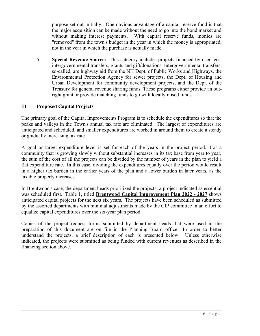purpose set out initially. One obvious advantage of a capital reserve fund is that the major acquisition can be made without the need to go into the bond market and without making interest payments. With capital reserve funds, monies are "removed" from the town's budget in the year in which the money is appropriated, not in the year in which the purchase is actually made.

5. **Special Revenue Sources**: This category includes projects financed by user fees, intergovernmental transfers, grants and gift/donations. Intergovernmental transfers, so-called, are highway aid from the NH Dept. of Public Works and Highways, the Environmental Protection Agency for sewer projects, the Dept. of Housing and Urban Development for community development projects, and the Dept. of the Treasury for general revenue sharing funds. These programs either provide an outright grant or provide matching funds to go with locally raised funds.

## III. **Proposed Capital Projects**

The primary goal of the Capital Improvements Program is to schedule the expenditures so that the peaks and valleys in the Town's annual tax rate are eliminated. The largest of expenditures are anticipated and scheduled, and smaller expenditures are worked in around them to create a steady or gradually increasing tax rate.

A goal or target expenditure level is set for each of the years in the project period. For a community that is growing slowly without substantial increases in its tax base from year to year, the sum of the cost of all the projects can be divided by the number of years in the plan to yield a flat expenditure rate. In this case, dividing the expenditures equally over the period would result in a higher tax burden in the earlier years of the plan and a lower burden in later years, as the taxable property increases.

In Brentwood's case, the department heads prioritized the projects; a project indicated as essential was scheduled first. Table 1, titled **Brentwood Capital Improvement Plan 2022 - 2027** shows anticipated capital projects for the next six years. The projects have been scheduled as submitted by the assorted departments with minimal adjustments made by the CIP committee in an effort to equalize capital expenditures over the six-year plan period.

Copies of the project request forms submitted by department heads that were used in the preparation of this document are on file in the Planning Board office. In order to better understand the projects, a brief description of each is presented below. Unless otherwise indicated, the projects were submitted as being funded with current revenues as described in the financing section above.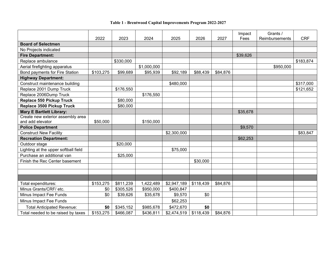#### **Table 1 - Brentwood Capital Improvements Program 2022-2027**

|                                      | 2022      | 2023      | 2024        | 2025        | 2026      | 2027     | Impact<br>Fees | Grants /<br>Reimbursements | <b>CRF</b> |
|--------------------------------------|-----------|-----------|-------------|-------------|-----------|----------|----------------|----------------------------|------------|
| <b>Board of Selectmen</b>            |           |           |             |             |           |          |                |                            |            |
| No Projects indicated                |           |           |             |             |           |          |                |                            |            |
| <b>Fire Department:</b>              |           |           |             |             |           |          | \$39,626       |                            |            |
| Replace ambulance                    |           | \$330,000 |             |             |           |          |                |                            | \$183,874  |
| Aerial firefighting apparatus        |           |           | \$1,000,000 |             |           |          |                | \$950,000                  |            |
| Bond payments for Fire Station       | \$103,275 | \$99,689  | \$95,939    | \$92,189    | \$88,439  | \$84,876 |                |                            |            |
| <b>Highway Department:</b>           |           |           |             |             |           |          |                |                            |            |
| Construct maintenance building       |           |           |             | \$480,000   |           |          |                |                            | \$317,000  |
| Replace 2001 Dump Truck              |           | \$176,550 |             |             |           |          |                |                            | \$121,652  |
| Replace 2006Dump Truck               |           |           | \$176,550   |             |           |          |                |                            |            |
| Replace 550 Pickup Truck             |           | \$80,000  |             |             |           |          |                |                            |            |
| Replace 3500 Pickup Truck            |           | \$80,000  |             |             |           |          |                |                            |            |
| <b>Mary E Bartlett Library:</b>      |           |           |             |             |           |          | \$35,678       |                            |            |
| Create new exterior assembly area    |           |           |             |             |           |          |                |                            |            |
| and add elevator                     | \$50,000  |           | \$150,000   |             |           |          |                |                            |            |
| <b>Police Department</b>             |           |           |             |             |           |          | \$9,570        |                            |            |
| <b>Construct New Facility</b>        |           |           |             | \$2,300,000 |           |          |                |                            | \$83,847   |
| <b>Recreation Department:</b>        |           |           |             |             |           |          | \$62,253       |                            |            |
| Outdoor stage                        |           | \$20,000  |             |             |           |          |                |                            |            |
| Lighting at the upper softball field |           |           |             | \$75,000    |           |          |                |                            |            |
| Purchase an additional van           |           | \$25,000  |             |             |           |          |                |                            |            |
| Finish the Rec Center basement       |           |           |             |             | \$30,000  |          |                |                            |            |
|                                      |           |           |             |             |           |          |                |                            |            |
|                                      |           |           |             |             |           |          |                |                            |            |
|                                      |           |           |             |             |           |          |                |                            |            |
| Total expenditures:                  | \$153,275 | \$811,239 | 1,422,489   | \$2,947,189 | \$118,439 | \$84,876 |                |                            |            |
| Minus Grants/CRF/ etc.               | \$0       | \$305,526 | \$950,000   | \$400,847   |           |          |                |                            |            |
| Minus Impact Fee Funds               | \$0       | \$39,626  | \$35,678    | \$9,570     | \$0       |          |                |                            |            |
| Minus Impact Fee Funds               |           |           |             | \$62,253    |           |          |                |                            |            |
| <b>Total Anticipated Revenue:</b>    | \$0       | \$345,152 | \$985,678   | \$472,670   | \$0       |          |                |                            |            |
| Total needed to be raised by taxes   | \$153,275 | \$466,087 | \$436,811   | \$2,474,519 | \$118,439 | \$84,876 |                |                            |            |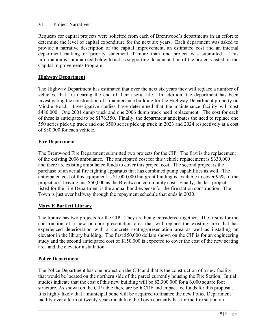## VI. Project Narratives

Requests for capital projects were solicited from each of Brentwood's departments in an effort to determine the level of capital expenditure for the next six years. Each department was asked to provide a narrative description of the capital improvement, an estimated cost and an internal department ranking or priority statement if more than one project was submitted. This information is summarized below to act as supporting documentation of the projects listed on the Capital Improvements Program.

## **Highway Department**

The Highway Department has estimated that over the next six years they will replace a number of vehicles. that are nearing the end of their useful life. In addition, the department has been investigating the construction of a maintenance building for the Highway Department property on Middle Road. Investigative studies have determined that the maintenance facility will cost \$480,000. One 2001 dump truck and one 2006 dump truck need replacement. The cost for each of these is anticipated to be \$176,550. Finally, the department anticipates the need to replace one 550 series pick up truck and one 3500 series pick up truck in 2023 and 2024 respectively at a cost of \$80,000 for each vehicle.

## **Fire Department**

The Brentwood Fire Department submitted two projects for the CIP. The first is the replacement of the existing 2006 ambulance. The anticipated cost for this vehicle replacement is \$330,000 and there are existing ambulance funds to cover this project cost. The second project is the purchase of an aerial fire fighting apparatus that has combined pump capabilities as well. The anticipated cost of this equipment is \$1,000,000 but grant funding is available to cover 95% of the project cost leaving just \$50,000 as the Brentwood community cost. Finally, the last project listed for the Fire Department is the annual bond expense for the fire station construction. The Town is just over halfway through the repayment schedule that ends in 2030.

## **Mary E Bartlett Library**

The library has two projects for the CIP. They are being considered together. The first is for the construction of a new outdoor presentation area that will replace the existing area that has experienced deterioration with a concrete seating/presentation area as well as installing an elevator in the library building. The first \$50,000 dollars shown on the CIP is for an engineering study and the second anticipated cost of \$150,000 is expected to cover the cost of the new seating area and the elevator installation.

## **Police Department**

The Police Department has one project on the CIP and that is the construction of a new facility that would be located on the northern side of the parcel currently housing the Fire Station. Initial studies indicate that the cost of this new building will be \$2,300.000 for a 6,000 square foot structure. As shown on the CIP table there are both CRF and impact fee funds for this proposal. It is highly likely that a municipal bond will be acquired to finance the new Police Department facility over a term of twenty years much like the Town currently has for the fire station on